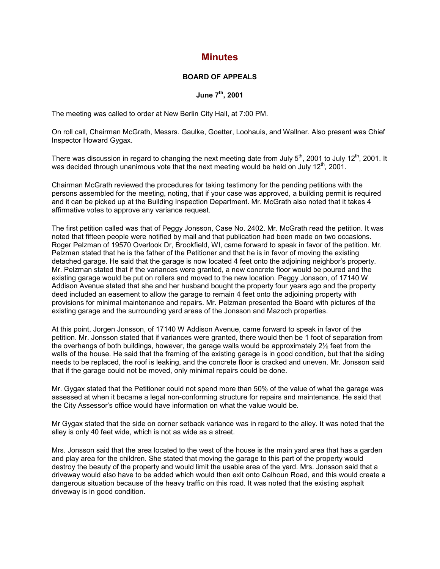## **Minutes**

## **BOARD OF APPEALS**

## **June 7th, 2001**

The meeting was called to order at New Berlin City Hall, at 7:00 PM.

On roll call, Chairman McGrath, Messrs. Gaulke, Goetter, Loohauis, and Wallner. Also present was Chief Inspector Howard Gygax.

There was discussion in regard to changing the next meeting date from July  $5<sup>th</sup>$ , 2001 to July 12<sup>th</sup>, 2001. It was decided through unanimous vote that the next meeting would be held on July 12<sup>th</sup>. 2001.

Chairman McGrath reviewed the procedures for taking testimony for the pending petitions with the persons assembled for the meeting, noting, that if your case was approved, a building permit is required and it can be picked up at the Building Inspection Department. Mr. McGrath also noted that it takes 4 affirmative votes to approve any variance request.

The first petition called was that of Peggy Jonsson, Case No. 2402. Mr. McGrath read the petition. It was noted that fifteen people were notified by mail and that publication had been made on two occasions. Roger Pelzman of 19570 Overlook Dr, Brookfield, WI, came forward to speak in favor of the petition. Mr. Pelzman stated that he is the father of the Petitioner and that he is in favor of moving the existing detached garage. He said that the garage is now located 4 feet onto the adjoining neighbor's property. Mr. Pelzman stated that if the variances were granted, a new concrete floor would be poured and the existing garage would be put on rollers and moved to the new location. Peggy Jonsson, of 17140 W Addison Avenue stated that she and her husband bought the property four years ago and the property deed included an easement to allow the garage to remain 4 feet onto the adjoining property with provisions for minimal maintenance and repairs. Mr. Pelzman presented the Board with pictures of the existing garage and the surrounding yard areas of the Jonsson and Mazoch properties.

At this point, Jorgen Jonsson, of 17140 W Addison Avenue, came forward to speak in favor of the petition. Mr. Jonsson stated that if variances were granted, there would then be 1 foot of separation from the overhangs of both buildings, however, the garage walls would be approximately 2½ feet from the walls of the house. He said that the framing of the existing garage is in good condition, but that the siding needs to be replaced, the roof is leaking, and the concrete floor is cracked and uneven. Mr. Jonsson said that if the garage could not be moved, only minimal repairs could be done.

Mr. Gygax stated that the Petitioner could not spend more than 50% of the value of what the garage was assessed at when it became a legal non-conforming structure for repairs and maintenance. He said that the City Assessor's office would have information on what the value would be.

Mr Gygax stated that the side on corner setback variance was in regard to the alley. It was noted that the alley is only 40 feet wide, which is not as wide as a street.

Mrs. Jonsson said that the area located to the west of the house is the main yard area that has a garden and play area for the children. She stated that moving the garage to this part of the property would destroy the beauty of the property and would limit the usable area of the yard. Mrs. Jonsson said that a driveway would also have to be added which would then exit onto Calhoun Road, and this would create a dangerous situation because of the heavy traffic on this road. It was noted that the existing asphalt driveway is in good condition.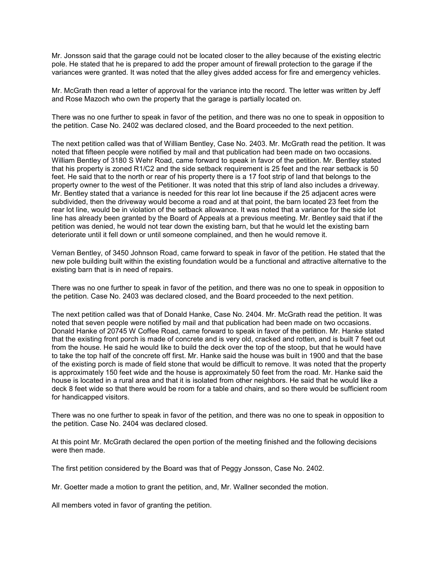Mr. Jonsson said that the garage could not be located closer to the alley because of the existing electric pole. He stated that he is prepared to add the proper amount of firewall protection to the garage if the variances were granted. It was noted that the alley gives added access for fire and emergency vehicles.

Mr. McGrath then read a letter of approval for the variance into the record. The letter was written by Jeff and Rose Mazoch who own the property that the garage is partially located on.

There was no one further to speak in favor of the petition, and there was no one to speak in opposition to the petition. Case No. 2402 was declared closed, and the Board proceeded to the next petition.

The next petition called was that of William Bentley, Case No. 2403. Mr. McGrath read the petition. It was noted that fifteen people were notified by mail and that publication had been made on two occasions. William Bentley of 3180 S Wehr Road, came forward to speak in favor of the petition. Mr. Bentley stated that his property is zoned R1/C2 and the side setback requirement is 25 feet and the rear setback is 50 feet. He said that to the north or rear of his property there is a 17 foot strip of land that belongs to the property owner to the west of the Petitioner. It was noted that this strip of land also includes a driveway. Mr. Bentley stated that a variance is needed for this rear lot line because if the 25 adjacent acres were subdivided, then the driveway would become a road and at that point, the barn located 23 feet from the rear lot line, would be in violation of the setback allowance. It was noted that a variance for the side lot line has already been granted by the Board of Appeals at a previous meeting. Mr. Bentley said that if the petition was denied, he would not tear down the existing barn, but that he would let the existing barn deteriorate until it fell down or until someone complained, and then he would remove it.

Vernan Bentley, of 3450 Johnson Road, came forward to speak in favor of the petition. He stated that the new pole building built within the existing foundation would be a functional and attractive alternative to the existing barn that is in need of repairs.

There was no one further to speak in favor of the petition, and there was no one to speak in opposition to the petition. Case No. 2403 was declared closed, and the Board proceeded to the next petition.

The next petition called was that of Donald Hanke, Case No. 2404. Mr. McGrath read the petition. It was noted that seven people were notified by mail and that publication had been made on two occasions. Donald Hanke of 20745 W Coffee Road, came forward to speak in favor of the petition. Mr. Hanke stated that the existing front porch is made of concrete and is very old, cracked and rotten, and is built 7 feet out from the house. He said he would like to build the deck over the top of the stoop, but that he would have to take the top half of the concrete off first. Mr. Hanke said the house was built in 1900 and that the base of the existing porch is made of field stone that would be difficult to remove. It was noted that the property is approximately 150 feet wide and the house is approximately 50 feet from the road. Mr. Hanke said the house is located in a rural area and that it is isolated from other neighbors. He said that he would like a deck 8 feet wide so that there would be room for a table and chairs, and so there would be sufficient room for handicapped visitors.

There was no one further to speak in favor of the petition, and there was no one to speak in opposition to the petition. Case No. 2404 was declared closed.

At this point Mr. McGrath declared the open portion of the meeting finished and the following decisions were then made.

The first petition considered by the Board was that of Peggy Jonsson, Case No. 2402.

Mr. Goetter made a motion to grant the petition, and, Mr. Wallner seconded the motion.

All members voted in favor of granting the petition.